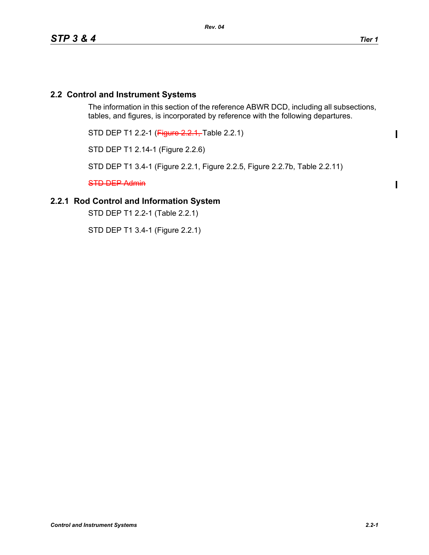$\mathbf I$ 

 $\mathbf{I}$ 

### **2.2 Control and Instrument Systems**

The information in this section of the reference ABWR DCD, including all subsections, tables, and figures, is incorporated by reference with the following departures.

STD DEP T1 2.2-1 (Figure 2.2.1, Table 2.2.1)

STD DEP T1 2.14-1 (Figure 2.2.6)

STD DEP T1 3.4-1 (Figure 2.2.1, Figure 2.2.5, Figure 2.2.7b, Table 2.2.11)

STD DEP Admin

# **2.2.1 Rod Control and Information System**

STD DEP T1 2.2-1 (Table 2.2.1)

STD DEP T1 3.4-1 (Figure 2.2.1)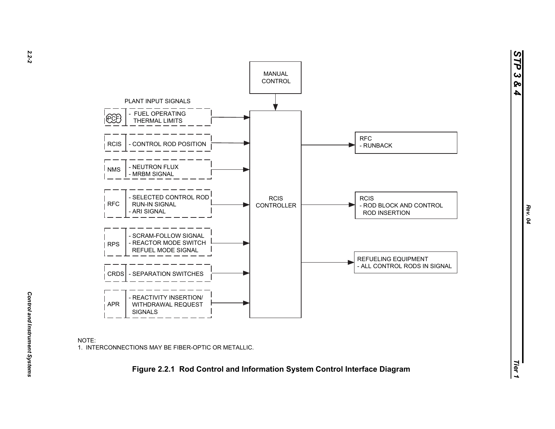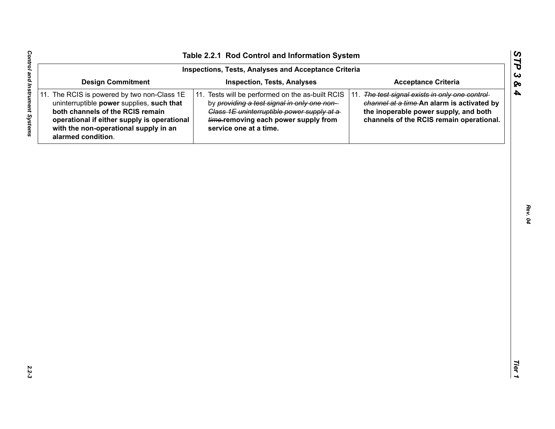| Inspections, Tests, Analyses and Acceptance Criteria                                                                                                                                                                                       |                                                                                                                                                                                                                 |                                                                                                                                                                                    |  |  |
|--------------------------------------------------------------------------------------------------------------------------------------------------------------------------------------------------------------------------------------------|-----------------------------------------------------------------------------------------------------------------------------------------------------------------------------------------------------------------|------------------------------------------------------------------------------------------------------------------------------------------------------------------------------------|--|--|
| <b>Design Commitment</b>                                                                                                                                                                                                                   | <b>Inspection, Tests, Analyses</b>                                                                                                                                                                              | <b>Acceptance Criteria</b>                                                                                                                                                         |  |  |
| 11. The RCIS is powered by two non-Class 1E<br>uninterruptible power supplies, such that<br>both channels of the RCIS remain<br>operational if either supply is operational<br>with the non-operational supply in an<br>alarmed condition. | 11. Tests will be performed on the as-built RCIS<br>by providing a test signal in only one non-<br>Class 1E uninterruptible power supply at a<br>time.removing each power supply from<br>service one at a time. | 11. The test signal exists in only one control-<br>channel at a time-An alarm is activated by<br>the inoperable power supply, and both<br>channels of the RCIS remain operational. |  |  |
|                                                                                                                                                                                                                                            |                                                                                                                                                                                                                 |                                                                                                                                                                                    |  |  |
|                                                                                                                                                                                                                                            |                                                                                                                                                                                                                 |                                                                                                                                                                                    |  |  |
|                                                                                                                                                                                                                                            |                                                                                                                                                                                                                 |                                                                                                                                                                                    |  |  |
|                                                                                                                                                                                                                                            |                                                                                                                                                                                                                 |                                                                                                                                                                                    |  |  |
|                                                                                                                                                                                                                                            |                                                                                                                                                                                                                 |                                                                                                                                                                                    |  |  |
|                                                                                                                                                                                                                                            |                                                                                                                                                                                                                 |                                                                                                                                                                                    |  |  |
|                                                                                                                                                                                                                                            |                                                                                                                                                                                                                 |                                                                                                                                                                                    |  |  |
|                                                                                                                                                                                                                                            |                                                                                                                                                                                                                 |                                                                                                                                                                                    |  |  |
|                                                                                                                                                                                                                                            |                                                                                                                                                                                                                 |                                                                                                                                                                                    |  |  |
|                                                                                                                                                                                                                                            |                                                                                                                                                                                                                 |                                                                                                                                                                                    |  |  |

*STP 3 & 4*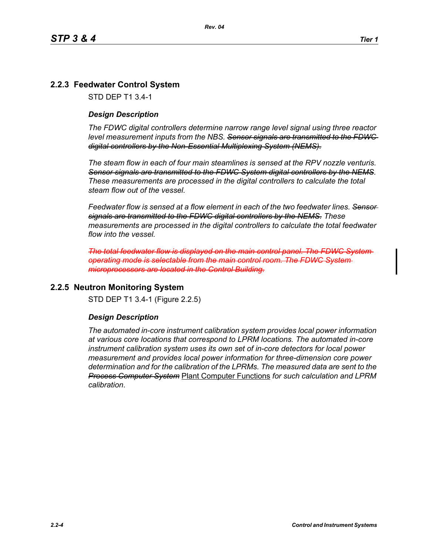## **2.2.3 Feedwater Control System**

STD DEP T1 3.4-1

#### *Design Description*

*The FDWC digital controllers determine narrow range level signal using three reactor level measurement inputs from the NBS. Sensor signals are transmitted to the FDWC digital controllers by the Non-Essential Multiplexing System (NEMS).*

*The steam flow in each of four main steamlines is sensed at the RPV nozzle venturis. Sensor signals are transmitted to the FDWC System digital controllers by the NEMS. These measurements are processed in the digital controllers to calculate the total steam flow out of the vessel.*

*Feedwater flow is sensed at a flow element in each of the two feedwater lines. Sensor signals are transmitted to the FDWC digital controllers by the NEMS. These measurements are processed in the digital controllers to calculate the total feedwater flow into the vessel.*

*The total feedwater flow is displayed on the main control panel. The operating mode is selectable from the main control room. The FDWC System microprocessors are located in the Control Building.*

#### **2.2.5 Neutron Monitoring System**

STD DEP T1 3.4-1 (Figure 2.2.5)

#### *Design Description*

*The automated in-core instrument calibration system provides local power information at various core locations that correspond to LPRM locations. The automated in-core instrument calibration system uses its own set of in-core detectors for local power measurement and provides local power information for three-dimension core power determination and for the calibration of the LPRMs. The measured data are sent to the Process Computer System* Plant Computer Functions *for such calculation and LPRM calibration*.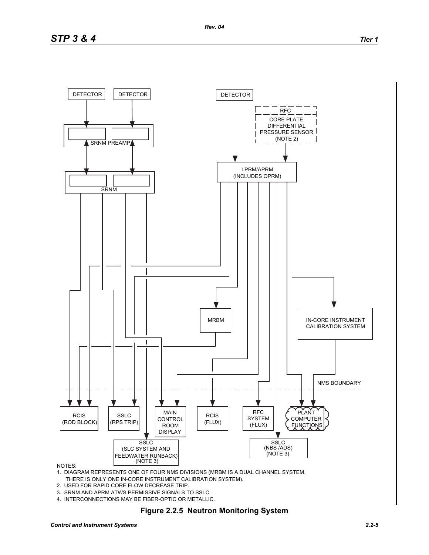

#### NOTES:

1. DIAGRAM REPRESENTS ONE OF FOUR NMS DIVISIONS (MRBM IS A DUAL CHANNEL SYSTEM. THERE IS ONLY ONE IN-CORE INSTRUMENT CALIBRATION SYSTEM).

- 2. USED FOR RAPID CORE FLOW DECREASE TRIP.
- 3. SRNM AND APRM ATWS PERMISSIVE SIGNALS TO SSLC.
- 4. INTERCONNECTIONS MAY BE FIBER-OPTIC OR METALLIC.

### **Figure 2.2.5 Neutron Monitoring System**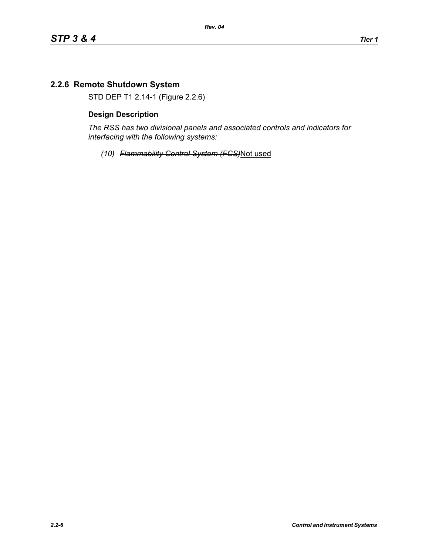## **2.2.6 Remote Shutdown System**

STD DEP T1 2.14-1 (Figure 2.2.6)

### **Design Description**

*The RSS has two divisional panels and associated controls and indicators for interfacing with the following systems:*

*(10) Flammability Control System (FCS)*Not used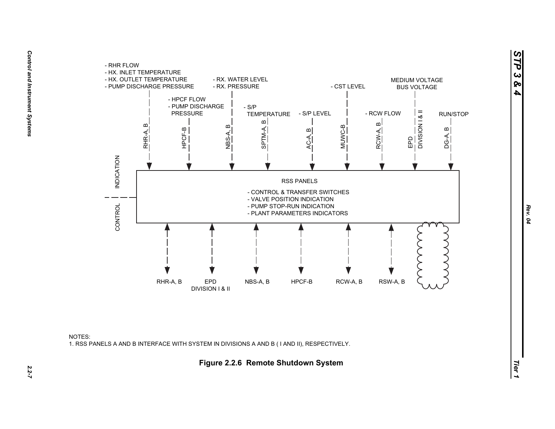

NOTES:1. RSS PANELS A AND B INTERFACE WITH SYSTEM IN DIVISIONS A AND B ( I AND II), RESPECTIVELY.

*STP 3 & 4*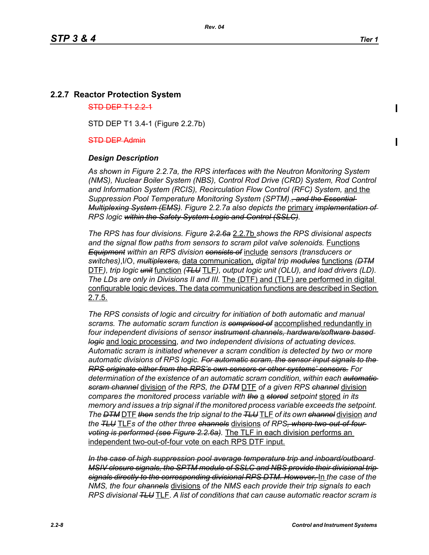### **2.2.7 Reactor Protection System**

#### $STD$  DEP  $T1$  2.2-1

STD DEP T1 3.4-1 (Figure 2.2.7b)

#### STD DEP Admin

#### *Design Description*

*As shown in Figure 2.2.7a, the RPS interfaces with the Neutron Monitoring System (NMS), Nuclear Boiler System (NBS), Control Rod Drive (CRD) System, Rod Control and Information System (RCIS), Recirculation Flow Control (RFC) System,* and the *Suppression Pool Temperature Monitoring System (SPTM)*.*, and the Essential Multiplexing System (EMS). Figure 2.2.7a also depicts the* primary *implementation of RPS logic within the Safety System Logic and Control (SSLC).*

*The RPS has four divisions. Figure 2.2.6a* 2.2.7b *shows the RPS divisional aspects and the signal flow paths from sensors to scram pilot valve solenoids.* Functions *Equipment within an RPS division consists of* include *sensors (transducers or switches)*,I/O, *multiplexers,* data communication, *digital trip modules* functions *(DTM* DTF*), trip logic unit* function *(TLU* TLF*), output logic unit (OLU), and load drivers (LD). The LDs are only in Divisions II and III.* The (DTF) and (TLF) are performed in digital configurable logic devices. The data communication functions are described in Section 2.7.5.

*The RPS consists of logic and circuitry for initiation of both automatic and manual scrams. The automatic scram function is comprised of* accomplished redundantly in *four independent divisions of sensor instrument channels, hardware/software based logic* and logic processing, *and two independent divisions of actuating devices. Automatic scram is initiated whenever a scram condition is detected by two or more automatic divisions of RPS logic. For automatic scram, the sensor input signals to the RPS originate either from the RPS's own sensors or other systems' sensors. For determination of the existence of an automatic scram condition, within each automatic scram channel* division *of the RPS, the DTM* DTF *of a given RPS channel* division *compares the monitored process variable with the* a *stored setpoint* stored *in its memory and issues a trip signal if the monitored process variable exceeds the setpoint. The DTM* DTF *then sends the trip signal to the TLU* TLF *of its own channel* division *and the TLU* TLF*s of the other three channels* divisions *of RPS, where two-out-of-four voting is performed (see Figure 2.2.6a).* The TLF in each division performs an independent two-out-of-four vote on each RPS DTF input.

*In the case of high suppression pool average temperature trip and inboard/outboard MSIV closure signals, the SPTM module of SSLC and NBS provide their divisional trip signals directly to the corresponding divisional RPS DTM. However,* In *the case of the NMS, the four channels* divisions *of the NMS each provide their trip signals to each RPS divisional TLU* TLF. *A list of conditions that can cause automatic reactor scram is*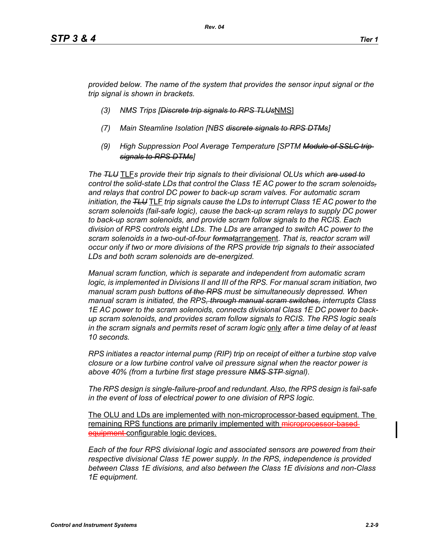*provided below. The name of the system that provides the sensor input signal or the trip signal is shown in brackets.*

- *(3) NMS Trips [Discrete trip signals to RPS TLUs*NMS]
- *(7) Main Steamline Isolation [NBS discrete signals to RPS DTMs]*
- *(9) High Suppression Pool Average Temperature [SPTM Module of SSLC trip signals to RPS DTMs]*

*The TLU* TLF*s provide their trip signals to their divisional OLUs which are used to control the solid-state LDs that control the Class 1E AC power to the scram solenoids, and relays that control DC power to back-up scram valves. For automatic scram initiation, the TLU* TLF *trip signals cause the LDs to interrupt Class 1E AC power to the scram solenoids (fail-safe logic), cause the back-up scram relays to supply DC power to back-up scram solenoids, and provide scram follow signals to the RCIS. Each division of RPS controls eight LDs. The LDs are arranged to switch AC power to the scram solenoids in a two-out-of-four format*arrangement. *That is, reactor scram will occur only if two or more divisions of the RPS provide trip signals to their associated LDs and both scram solenoids are de-energized.*

*Manual scram function, which is separate and independent from automatic scram logic, is implemented in Divisions II and III of the RPS. For manual scram initiation, two manual scram push buttons of the RPS must be simultaneously depressed. When manual scram is initiated, the RPS, through manual scram switches, interrupts Class 1E AC power to the scram solenoids, connects divisional Class 1E DC power to backup scram solenoids, and provides scram follow signals to RCIS. The RPS logic seals in the scram signals and permits reset of scram logic* only *after a time delay of at least 10 seconds.*

*RPS initiates a reactor internal pump (RIP) trip on receipt of either a turbine stop valve closure or a low turbine control valve oil pressure signal when the reactor power is above 40% (from a turbine first stage pressure NMS STP signal).*

*The RPS design is single-failure-proof and redundant. Also, the RPS design is fail-safe in the event of loss of electrical power to one division of RPS logic.*

The OLU and LDs are implemented with non-microprocessor-based equipment. The remaining RPS functions are primarily implemented with microprocessor equipment-configurable logic devices.

*Each of the four RPS divisional logic and associated sensors are powered from their respective divisional Class 1E power supply. In the RPS, independence is provided between Class 1E divisions, and also between the Class 1E divisions and non-Class 1E equipment.*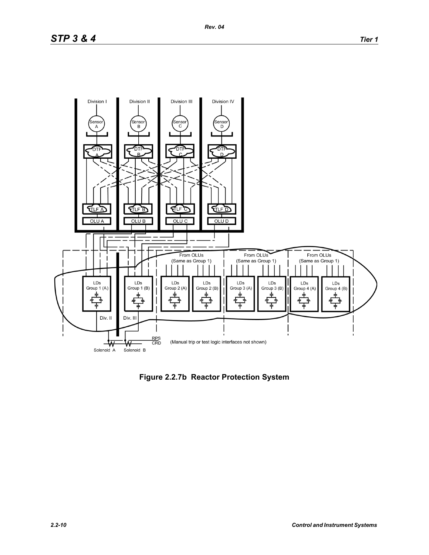

**Figure 2.2.7b Reactor Protection System**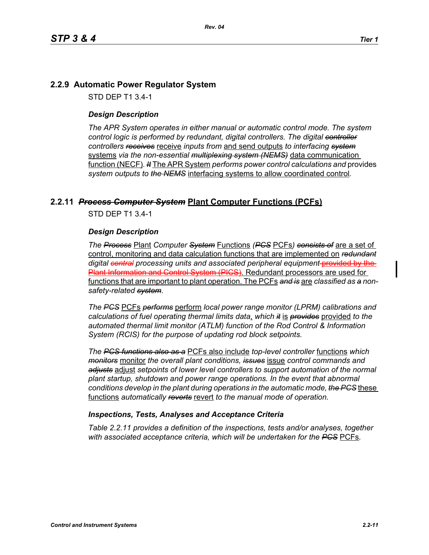### **2.2.9 Automatic Power Regulator System**

STD DEP T1 3.4-1

#### *Design Description*

*The APR System operates in either manual or automatic control mode. The system control logic is performed by redundant, digital controllers. The digital controller controllers receives* receive *inputs from* and send outputs *to interfacing system* systems *via the non-essential multiplexing system (NEMS)* data communication function (NECF)*. It* The APR System *performs power control calculations and* provides *system outputs to the NEMS* interfacing systems to allow coordinated control*.*

#### **2.2.11** *Process Computer System* **Plant Computer Functions (PCFs)**

STD DEP T1 3.4-1

#### *Design Description*

*The Process* Plant *Computer System* Functions *(PCS* PCFs*) consists of* are a set of control, monitoring and data calculation functions that are implemented on *redundant* digital central processing units and associated peripheral equipment-provided by Plant Information and Control System (PICS). Redundant processors are used for functions that are important to plant operation. The PCFs *and is* are *classified as a nonsafety-related system.*

*The PCS* PCFs *performs* perform *local power range monitor (LPRM) calibrations and calculations of fuel operating thermal limits data*, *which it* is *provides* provided *to the automated thermal limit monitor (ATLM) function of the Rod Control & Information System (RCIS) for the purpose of updating rod block setpoints.*

*The PCS functions also as a* PCFs also include *top-level controller* functions *which monitors* monitor *the overall plant conditions, issues* issue *control commands and adjusts* adjust *setpoints of lower level controllers to support automation of the normal plant startup, shutdown and power range operations. In the event that abnormal conditions develop in the plant during operations in the automatic mode, the PCS* these functions *automatically reverts* revert *to the manual mode of operation.*

#### *Inspections, Tests, Analyses and Acceptance Criteria*

*Table 2.2.11 provides a definition of the inspections, tests and/or analyses, together with associated acceptance criteria, which will be undertaken for the PCS* PCFs*.*